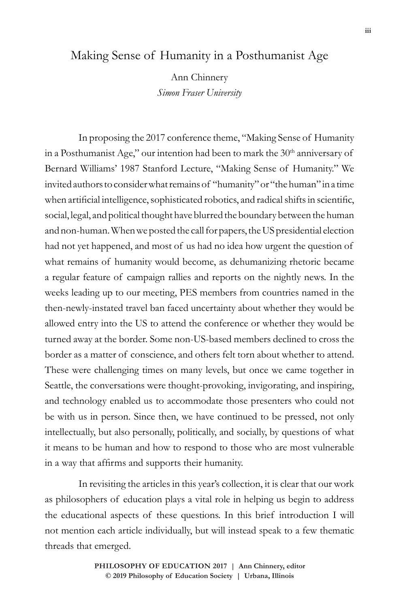## Making Sense of Humanity in a Posthumanist Age

Ann Chinnery *Simon Fraser University*

In proposing the 2017 conference theme, "Making Sense of Humanity in a Posthumanist Age," our intention had been to mark the 30<sup>th</sup> anniversary of Bernard Williams' 1987 Stanford Lecture, "Making Sense of Humanity." We invited authors to consider what remains of "humanity" or "the human" in a time when artificial intelligence, sophisticated robotics, and radical shifts in scientific, social, legal, and political thought have blurred the boundary between the human and non-human. When we posted the call for papers, the US presidential election had not yet happened, and most of us had no idea how urgent the question of what remains of humanity would become, as dehumanizing rhetoric became a regular feature of campaign rallies and reports on the nightly news. In the weeks leading up to our meeting, PES members from countries named in the then-newly-instated travel ban faced uncertainty about whether they would be allowed entry into the US to attend the conference or whether they would be turned away at the border. Some non-US-based members declined to cross the border as a matter of conscience, and others felt torn about whether to attend. These were challenging times on many levels, but once we came together in Seattle, the conversations were thought-provoking, invigorating, and inspiring, and technology enabled us to accommodate those presenters who could not be with us in person. Since then, we have continued to be pressed, not only intellectually, but also personally, politically, and socially, by questions of what it means to be human and how to respond to those who are most vulnerable in a way that affirms and supports their humanity.

In revisiting the articles in this year's collection, it is clear that our work as philosophers of education plays a vital role in helping us begin to address the educational aspects of these questions. In this brief introduction I will not mention each article individually, but will instead speak to a few thematic threads that emerged.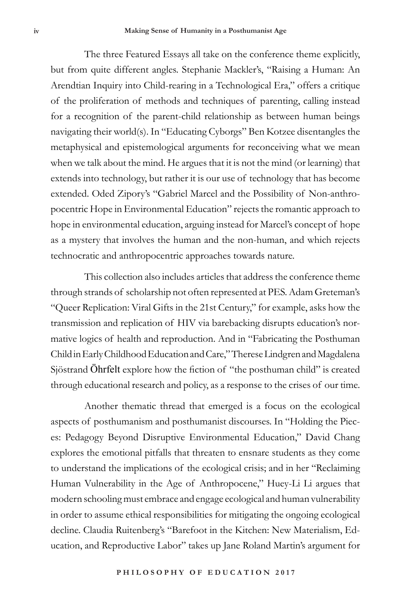The three Featured Essays all take on the conference theme explicitly, but from quite different angles. Stephanie Mackler's, "Raising a Human: An Arendtian Inquiry into Child-rearing in a Technological Era," offers a critique of the proliferation of methods and techniques of parenting, calling instead for a recognition of the parent-child relationship as between human beings navigating their world(s). In "Educating Cyborgs" Ben Kotzee disentangles the metaphysical and epistemological arguments for reconceiving what we mean when we talk about the mind. He argues that it is not the mind (or learning) that extends into technology, but rather it is our use of technology that has become extended. Oded Zipory's "Gabriel Marcel and the Possibility of Non-anthropocentric Hope in Environmental Education" rejects the romantic approach to hope in environmental education, arguing instead for Marcel's concept of hope as a mystery that involves the human and the non-human, and which rejects technocratic and anthropocentric approaches towards nature.

This collection also includes articles that address the conference theme through strands of scholarship not often represented at PES. Adam Greteman's "Queer Replication: Viral Gifts in the 21st Century," for example, asks how the transmission and replication of HIV via barebacking disrupts education's normative logics of health and reproduction. And in "Fabricating the Posthuman Child in Early Childhood Education and Care," Therese Lindgren and Magdalena Sjöstrand Öhrfelt explore how the fiction of "the posthuman child" is created through educational research and policy, as a response to the crises of our time.

Another thematic thread that emerged is a focus on the ecological aspects of posthumanism and posthumanist discourses. In "Holding the Pieces: Pedagogy Beyond Disruptive Environmental Education," David Chang explores the emotional pitfalls that threaten to ensnare students as they come to understand the implications of the ecological crisis; and in her "Reclaiming Human Vulnerability in the Age of Anthropocene," Huey-Li Li argues that modern schooling must embrace and engage ecological and human vulnerability in order to assume ethical responsibilities for mitigating the ongoing ecological decline. Claudia Ruitenberg's "Barefoot in the Kitchen: New Materialism, Education, and Reproductive Labor" takes up Jane Roland Martin's argument for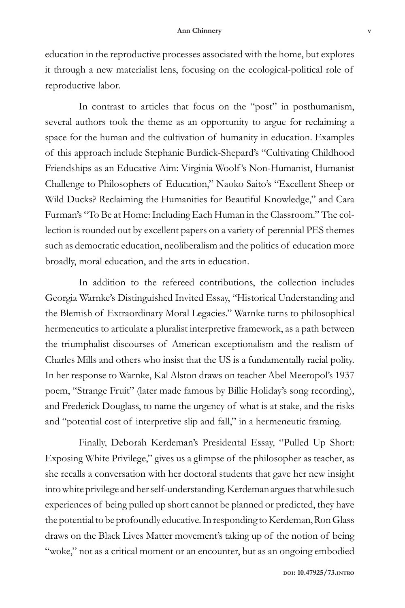education in the reproductive processes associated with the home, but explores it through a new materialist lens, focusing on the ecological-political role of reproductive labor.

In contrast to articles that focus on the "post" in posthumanism, several authors took the theme as an opportunity to argue for reclaiming a space for the human and the cultivation of humanity in education. Examples of this approach include Stephanie Burdick-Shepard's "Cultivating Childhood Friendships as an Educative Aim: Virginia Woolf 's Non-Humanist, Humanist Challenge to Philosophers of Education," Naoko Saito's "Excellent Sheep or Wild Ducks? Reclaiming the Humanities for Beautiful Knowledge," and Cara Furman's "To Be at Home: Including Each Human in the Classroom." The collection is rounded out by excellent papers on a variety of perennial PES themes such as democratic education, neoliberalism and the politics of education more broadly, moral education, and the arts in education.

In addition to the refereed contributions, the collection includes Georgia Warnke's Distinguished Invited Essay, "Historical Understanding and the Blemish of Extraordinary Moral Legacies." Warnke turns to philosophical hermeneutics to articulate a pluralist interpretive framework, as a path between the triumphalist discourses of American exceptionalism and the realism of Charles Mills and others who insist that the US is a fundamentally racial polity. In her response to Warnke, Kal Alston draws on teacher Abel Meeropol's 1937 poem, "Strange Fruit" (later made famous by Billie Holiday's song recording), and Frederick Douglass, to name the urgency of what is at stake, and the risks and "potential cost of interpretive slip and fall," in a hermeneutic framing.

Finally, Deborah Kerdeman's Presidental Essay, "Pulled Up Short: Exposing White Privilege," gives us a glimpse of the philosopher as teacher, as she recalls a conversation with her doctoral students that gave her new insight into white privilege and her self-understanding. Kerdeman argues that while such experiences of being pulled up short cannot be planned or predicted, they have the potential to be profoundly educative. In responding to Kerdeman, Ron Glass draws on the Black Lives Matter movement's taking up of the notion of being "woke," not as a critical moment or an encounter, but as an ongoing embodied